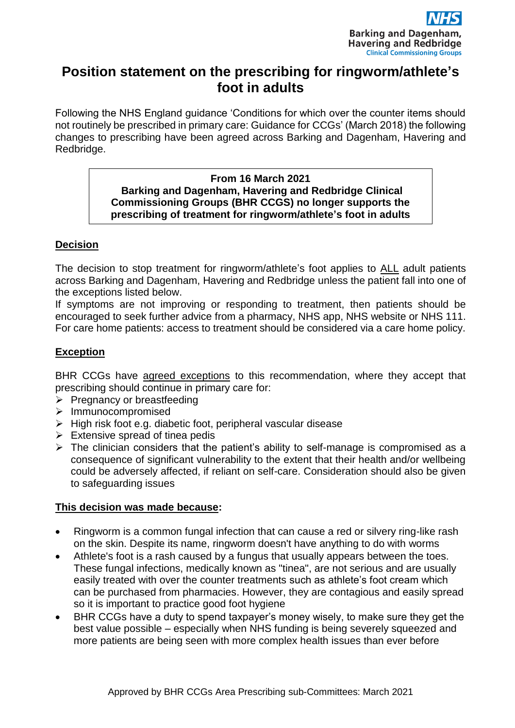

# **Position statement on the prescribing for ringworm/athlete's foot in adults**

Following the NHS England guidance 'Conditions for which over the counter items should not routinely be prescribed in primary care: Guidance for CCGs' (March 2018) the following changes to prescribing have been agreed across Barking and Dagenham, Havering and Redbridge.

#### **From 16 March 2021 Barking and Dagenham, Havering and Redbridge Clinical Commissioning Groups (BHR CCGS) no longer supports the prescribing of treatment for ringworm/athlete's foot in adults**

# **Decision**

The decision to stop treatment for ringworm/athlete's foot applies to ALL adult patients across Barking and Dagenham, Havering and Redbridge unless the patient fall into one of the exceptions listed below.

If symptoms are not improving or responding to treatment, then patients should be encouraged to seek further advice from a pharmacy, NHS app, NHS website or NHS 111. For care home patients: access to treatment should be considered via a care home policy.

# **Exception**

BHR CCGs have agreed exceptions to this recommendation, where they accept that prescribing should continue in primary care for:

- ➢ Pregnancy or breastfeeding
- ➢ Immunocompromised
- ➢ High risk foot e.g. diabetic foot, peripheral vascular disease
- $\triangleright$  Extensive spread of tinea pedis
- $\triangleright$  The clinician considers that the patient's ability to self-manage is compromised as a consequence of significant vulnerability to the extent that their health and/or wellbeing could be adversely affected, if reliant on self-care. Consideration should also be given to safeguarding issues

### **This decision was made because:**

- Ringworm is a common fungal infection that can cause a red or silvery ring-like rash on the skin. Despite its name, ringworm doesn't have anything to do with worms
- Athlete's foot is a rash caused by a fungus that usually appears between the toes. These fungal infections, medically known as "tinea", are not serious and are usually easily treated with over the counter treatments such as athlete's foot cream which can be purchased from pharmacies. However, they are contagious and easily spread so it is important to practice good foot hygiene
- BHR CCGs have a duty to spend taxpayer's money wisely, to make sure they get the best value possible – especially when NHS funding is being severely squeezed and more patients are being seen with more complex health issues than ever before